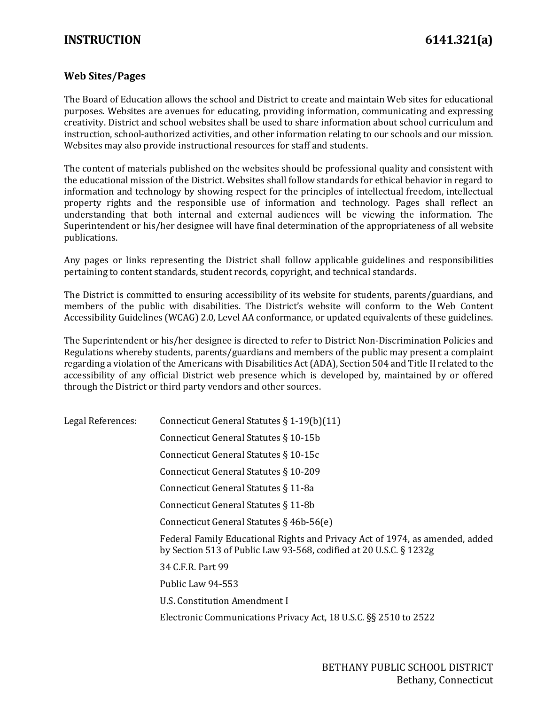## **INSTRUCTION 6141.321(a)**

## **Web Sites/Pages**

The Board of Education allows the school and District to create and maintain Web sites for educational purposes. Websites are avenues for educating, providing information, communicating and expressing creativity. District and school websites shall be used to share information about school curriculum and instruction, school-authorized activities, and other information relating to our schools and our mission. Websites may also provide instructional resources for staff and students.

The content of materials published on the websites should be professional quality and consistent with the educational mission of the District. Websites shall follow standards for ethical behavior in regard to information and technology by showing respect for the principles of intellectual freedom, intellectual property rights and the responsible use of information and technology. Pages shall reflect an understanding that both internal and external audiences will be viewing the information. The Superintendent or his/her designee will have final determination of the appropriateness of all website publications.

Any pages or links representing the District shall follow applicable guidelines and responsibilities pertaining to content standards, student records, copyright, and technical standards.

The District is committed to ensuring accessibility of its website for students, parents/guardians, and members of the public with disabilities. The District's website will conform to the Web Content Accessibility Guidelines (WCAG) 2.0, Level AA conformance, or updated equivalents of these guidelines.

The Superintendent or his/her designee is directed to refer to District Non-Discrimination Policies and Regulations whereby students, parents/guardians and members of the public may present a complaint regarding a violation of the Americans with Disabilities Act (ADA), Section 504 and Title II related to the accessibility of any official District web presence which is developed by, maintained by or offered through the District or third party vendors and other sources.

Legal References: Connecticut General Statutes § 1-19(b)(11)

| DUGALIWICI CHUCO. | $\frac{1}{2}$                                                                                                                                      |
|-------------------|----------------------------------------------------------------------------------------------------------------------------------------------------|
|                   | Connecticut General Statutes § 10-15b                                                                                                              |
|                   | Connecticut General Statutes § 10-15c                                                                                                              |
|                   | Connecticut General Statutes § 10-209                                                                                                              |
|                   | Connecticut General Statutes § 11-8a                                                                                                               |
|                   | Connecticut General Statutes § 11-8b                                                                                                               |
|                   | Connecticut General Statutes $\S$ 46b-56(e)                                                                                                        |
|                   | Federal Family Educational Rights and Privacy Act of 1974, as amended, added<br>by Section 513 of Public Law 93-568, codified at 20 U.S.C. § 1232g |
|                   | 34 C.F.R. Part 99                                                                                                                                  |
|                   | Public Law 94-553                                                                                                                                  |
|                   | U.S. Constitution Amendment I                                                                                                                      |
|                   | Electronic Communications Privacy Act, 18 U.S.C. §§ 2510 to 2522                                                                                   |
|                   |                                                                                                                                                    |